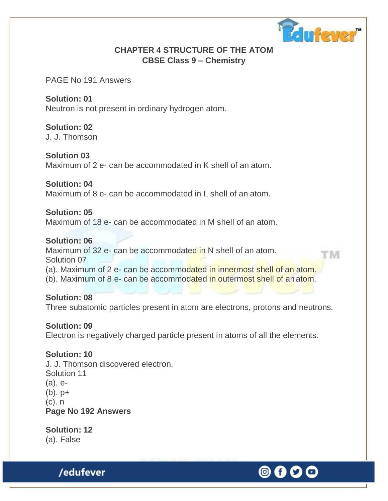

## **CHAPTER 4 STRUCTURE OF THE ATOM CBSE Class 9 – Chemistry**

PAGE No 191 Answers

**Solution: 01** Neutron is not present in ordinary hydrogen atom.

**Solution: 02**

J. J. Thomson

**Solution 03** Maximum of 2 e- can be accommodated in K shell of an atom.

**Solution: 04** Maximum of 8 e- can be accommodated in L shell of an atom.

**Solution: 05** Maximum of 18 e- can be accommodated in M shell of an atom.

**Solution: 06** Maximum of 32 e- can be accommodated in N shell of an atom. t'M Solution 07 (a). Maximum of 2 e- can be accommodated in innermost shell of an atom. (b). Maximum of 8 e- can be accommodated in outermost shell of an atom.

**Solution: 08** Three subatomic particles present in atom are electrons, protons and neutrons.

**Solution: 09** Electron is negatively charged particle present in atoms of all the elements.

**Solution: 10** J. J. Thomson discovered electron. Solution 11 (a). e-  $(b)$ .  $p+$ (c). n **Page No 192 Answers**

**Solution: 12** (a). False

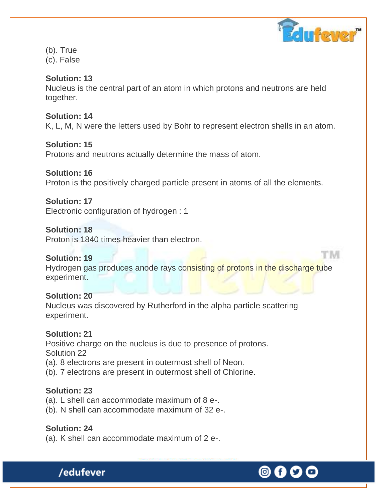

t'M

(b). True (c). False

### **Solution: 13**

Nucleus is the central part of an atom in which protons and neutrons are held together.

#### **Solution: 14**

K, L, M, N were the letters used by Bohr to represent electron shells in an atom.

#### **Solution: 15**

Protons and neutrons actually determine the mass of atom.

#### **Solution: 16**

Proton is the positively charged particle present in atoms of all the elements.

## **Solution: 17**

Electronic configuration of hydrogen : 1

### **Solution: 18**

Proton is 1840 times heavier than electron.

#### **Solution: 19**

Hydrogen gas produces anode rays consisting of protons in the discharge tube experiment.

#### **Solution: 20**

Nucleus was discovered by Rutherford in the alpha particle scattering experiment.

#### **Solution: 21**

Positive charge on the nucleus is due to presence of protons. Solution 22

- (a). 8 electrons are present in outermost shell of Neon.
- (b). 7 electrons are present in outermost shell of Chlorine.

#### **Solution: 23**

- (a). L shell can accommodate maximum of 8 e-.
- (b). N shell can accommodate maximum of 32 e-.

#### **Solution: 24**

(a). K shell can accommodate maximum of 2 e-.

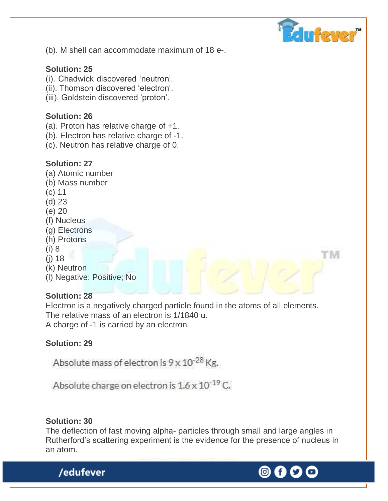

t' IVI

(b). M shell can accommodate maximum of 18 e-.

### **Solution: 25**

- (i). Chadwick discovered 'neutron'.
- (ii). Thomson discovered 'electron'.
- (iii). Goldstein discovered 'proton'.

#### **Solution: 26**

- (a). Proton has relative charge of +1.
- (b). Electron has relative charge of -1.
- (c). Neutron has relative charge of 0.

#### **Solution: 27**

- (a) Atomic number
- (b) Mass number
- (c) 11
- (d) 23
- (e) 20
- (f) Nucleus
- (g) Electrons
- (h) Protons
- (i) 8
- (j) 18
- (k) Neutron
- (l) Negative; Positive; No

#### **Solution: 28**

Electron is a negatively charged particle found in the atoms of all elements. The relative mass of an electron is 1/1840 u. A charge of -1 is carried by an electron.

## **Solution: 29**

Absolute mass of electron is 9 x 10<sup>-28</sup> Kg.

Absolute charge on electron is  $1.6 \times 10^{-19}$  C.

#### **Solution: 30**

The deflection of fast moving alpha- particles through small and large angles in Rutherford's scattering experiment is the evidence for the presence of nucleus in an atom.

© f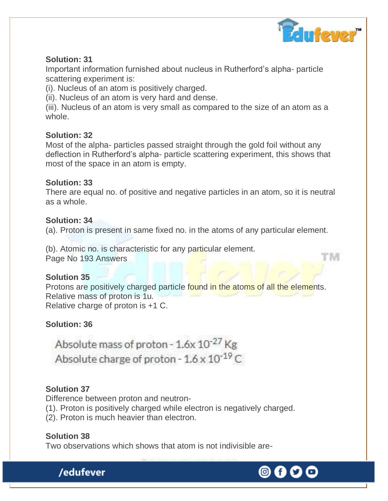

M

### **Solution: 31**

Important information furnished about nucleus in Rutherford's alpha- particle scattering experiment is:

(i). Nucleus of an atom is positively charged.

(ii). Nucleus of an atom is very hard and dense.

(iii). Nucleus of an atom is very small as compared to the size of an atom as a whole.

## **Solution: 32**

Most of the alpha- particles passed straight through the gold foil without any deflection in Rutherford's alpha- particle scattering experiment, this shows that most of the space in an atom is empty.

#### **Solution: 33**

There are equal no. of positive and negative particles in an atom, so it is neutral as a whole.

#### **Solution: 34**

(a). Proton is present in same fixed no. in the atoms of any particular element.

(b). Atomic no. is characteristic for any particular element. Page No 193 Answers

## **Solution 35**

Protons are positively charged particle found in the atoms of all the elements. Relative mass of proton is 1u. Relative charge of proton is +1 C.

## **Solution: 36**

Absolute mass of proton - 1.6x 10<sup>-27</sup> Kg Absolute charge of proton -  $1.6 \times 10^{-19}$  C

## **Solution 37**

Difference between proton and neutron-

(1). Proton is positively charged while electron is negatively charged.

(2). Proton is much heavier than electron.

#### **Solution 38** Two observations which shows that atom is not indivisible are-

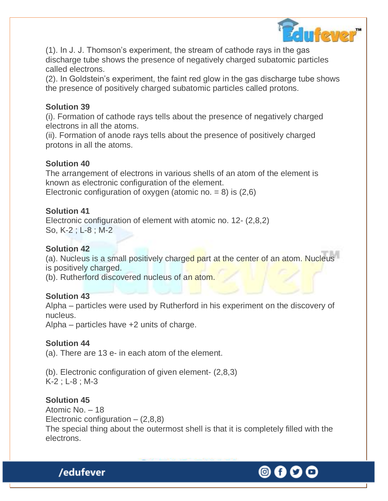

(1). In J. J. Thomson's experiment, the stream of cathode rays in the gas discharge tube shows the presence of negatively charged subatomic particles called electrons.

(2). In Goldstein's experiment, the faint red glow in the gas discharge tube shows the presence of positively charged subatomic particles called protons.

#### **Solution 39**

(i). Formation of cathode rays tells about the presence of negatively charged electrons in all the atoms.

(ii). Formation of anode rays tells about the presence of positively charged protons in all the atoms.

#### **Solution 40**

The arrangement of electrons in various shells of an atom of the element is known as electronic configuration of the element. Electronic configuration of oxygen (atomic no.  $= 8$ ) is (2,6)

#### **Solution 41**

Electronic configuration of element with atomic no. 12- (2,8,2) So, K-2 ; L-8 ; M-2

## **Solution 42**

(a). Nucleus is a small positively charged part at the center of an atom. Nucleus is positively charged.

(b). Rutherford discovered nucleus of an atom.

## **Solution 43**

Alpha – particles were used by Rutherford in his experiment on the discovery of nucleus.

Alpha – particles have +2 units of charge.

## **Solution 44**

(a). There are 13 e- in each atom of the element.

(b). Electronic configuration of given element- (2,8,3) K-2 ; L-8 ; M-3

## **Solution 45**

Atomic No. – 18 Electronic configuration  $(2,8,8)$ The special thing about the outermost shell is that it is completely filled with the electrons.

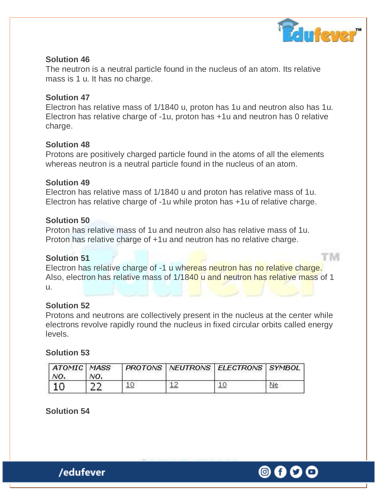

tm

#### **Solution 46**

The neutron is a neutral particle found in the nucleus of an atom. Its relative mass is 1 u. It has no charge.

#### **Solution 47**

Electron has relative mass of 1/1840 u, proton has 1u and neutron also has 1u. Electron has relative charge of -1u, proton has +1u and neutron has 0 relative charge.

#### **Solution 48**

Protons are positively charged particle found in the atoms of all the elements whereas neutron is a neutral particle found in the nucleus of an atom.

#### **Solution 49**

Electron has relative mass of 1/1840 u and proton has relative mass of 1u. Electron has relative charge of -1u while proton has +1u of relative charge.

#### **Solution 50**

Proton has relative mass of 1u and neutron also has relative mass of 1u. Proton has relative charge of +1u and neutron has no relative charge.

#### **Solution 51**

Electron has relative charge of -1 u whereas neutron has no relative charge. Also, electron has relative mass of 1/1840 u and neutron has relative mass of 1 u.

#### **Solution 52**

Protons and neutrons are collectively present in the nucleus at the center while electrons revolve rapidly round the nucleus in fixed circular orbits called energy levels.

#### **Solution 53**

| ATOMIC MASS<br>NO. | NO. |    | PROTONS   NEUTRONS   ELECTRONS   SYMBOL |  |
|--------------------|-----|----|-----------------------------------------|--|
|                    |     | 10 |                                         |  |

**Solution 54**

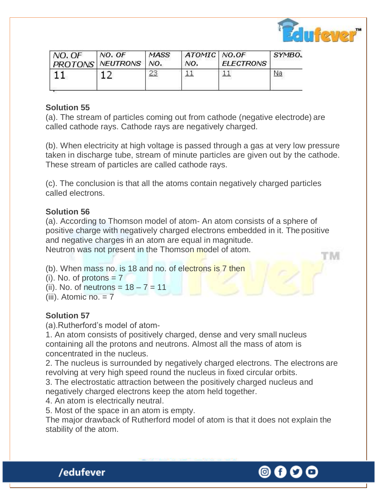

'IM

| $NO$ . $OF$ | NO. OF<br>  PROTONS   NEUTRONS | <b>MASS</b><br>NO. | $ATOMIC$ NO.OF<br>NO. | <b>ELECTRONS</b> | SYMBO. |
|-------------|--------------------------------|--------------------|-----------------------|------------------|--------|
|             |                                |                    |                       |                  | Na     |

### **Solution 55**

(a). The stream of particles coming out from cathode (negative electrode) are called cathode rays. Cathode rays are negatively charged.

(b). When electricity at high voltage is passed through a gas at very low pressure taken in discharge tube, stream of minute particles are given out by the cathode. These stream of particles are called cathode rays.

(c). The conclusion is that all the atoms contain negatively charged particles called electrons.

#### **Solution 56**

(a). According to Thomson model of atom- An atom consists of a sphere of positive charge with negatively charged electrons embedded in it. The positive and negative charges in an atom are equal in magnitude.

Neutron was not present in the Thomson model of atom.

(b). When mass no. is 18 and no. of electrons is 7 then

 $(i)$ . No. of protons  $= 7$ 

(ii). No. of neutrons =  $18 - 7 = 11$ 

 $(iii)$ . Atomic no.  $= 7$ 

## **Solution 57**

(a).Rutherford's model of atom-

1. An atom consists of positively charged, dense and very small nucleus containing all the protons and neutrons. Almost all the mass of atom is concentrated in the nucleus.

2. The nucleus is surrounded by negatively charged electrons. The electrons are revolving at very high speed round the nucleus in fixed circular orbits.

3. The electrostatic attraction between the positively charged nucleus and negatively charged electrons keep the atom held together.

4. An atom is electrically neutral.

5. Most of the space in an atom is empty.

The major drawback of Rutherford model of atom is that it does not explain the stability of the atom.

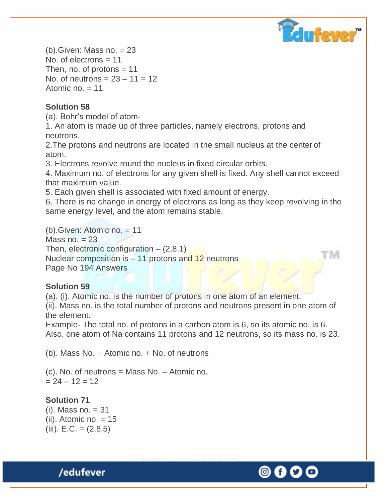

'N

 $(b)$ . Given: Mass no.  $= 23$ No. of electrons = 11 Then, no. of protons  $= 11$ No. of neutrons =  $23 - 11 = 12$ Atomic  $no = 11$ 

## **Solution 58**

(a). Bohr's model of atom-

1. An atom is made up of three particles, namely electrons, protons and neutrons.

2.The protons and neutrons are located in the small nucleus at the center of atom.

3. Electrons revolve round the nucleus in fixed circular orbits.

4. Maximum no. of electrons for any given shell is fixed. Any shell cannot exceed that maximum value.

5. Each given shell is associated with fixed amount of energy.

6. There is no change in energy of electrons as long as they keep revolving in the same energy level, and the atom remains stable.

(b).Given: Atomic no. = 11 Mass no.  $= 23$ Then, electronic configuration  $-$  (2,8,1) Nuclear composition is  $-11$  protons and 12 neutrons Page No 194 Answers

## **Solution 59**

(a). (i). Atomic no. is the number of protons in one atom of an element.

(ii). Mass no. is the total number of protons and neutrons present in one atom of the element.

Example- The total no. of protons in a carbon atom is 6, so its atomic no. is 6. Also, one atom of Na contains 11 protons and 12 neutrons, so its mass no. is 23.

(b). Mass No. = Atomic no. + No. of neutrons

(c). No. of neutrons = Mass No. – Atomic no.  $= 24 - 12 = 12$ 

## **Solution 71**

 $(i)$ . Mass no.  $=$  31  $(ii)$ . Atomic no.  $= 15$  $(iii)$ . E.C. =  $(2,8,5)$ 

© 0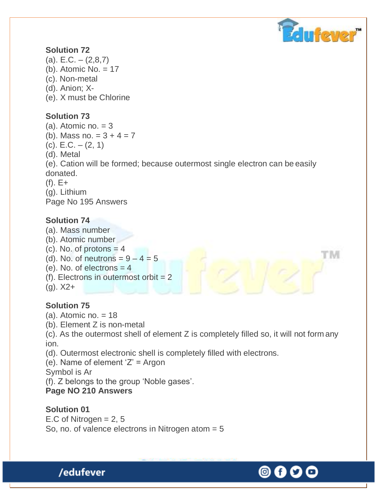

T' M

### **Solution 72**

- $(a)$ . E.C.  $(2,8,7)$ (b). Atomic No. = 17 (c). Non-metal (d). Anion; X-
- (e). X must be Chlorine

### **Solution 73**

- $(a)$ . Atomic no.  $= 3$
- (b). Mass no.  $= 3 + 4 = 7$
- (c). E.C. (2, 1)
- (d). Metal

(e). Cation will be formed; because outermost single electron can be easily donated.

- $(f)$ . E+
- (g). Lithium

Page No 195 Answers

#### **Solution 74**

- (a). Mass number
- (b). Atomic number
- $(c)$ . No. of protons  $=$  4
- (d). No. of neutrons  $= 9 4 = 5$
- $(e)$ . No. of electrons  $= 4$
- $(f)$ . Electrons in outermost orbit = 2
- $(q)$ .  $X2+$

## **Solution 75**

- $(a)$ . Atomic no. = 18
- (b). Element Z is non-metal

(c). As the outermost shell of element Z is completely filled so, it will not form any ion.

(d). Outermost electronic shell is completely filled with electrons.

(e). Name of element 'Z' = Argon

Symbol is Ar

(f). Z belongs to the group 'Noble gases'.

#### **Page NO 210 Answers**

/edufever

**Solution 01** E.C of Nitrogen  $= 2, 5$ So, no. of valence electrons in Nitrogen atom = 5

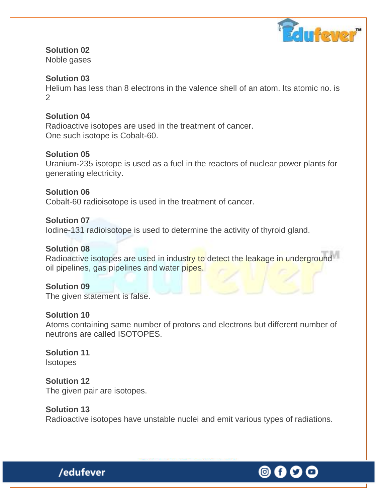

# **Solution 02**

Noble gases

### **Solution 03**

Helium has less than 8 electrons in the valence shell of an atom. Its atomic no. is  $\mathcal{P}$ 

#### **Solution 04**

Radioactive isotopes are used in the treatment of cancer. One such isotope is Cobalt-60.

#### **Solution 05**

Uranium-235 isotope is used as a fuel in the reactors of nuclear power plants for generating electricity.

**Solution 06** Cobalt-60 radioisotope is used in the treatment of cancer.

### **Solution 07**

Iodine-131 radioisotope is used to determine the activity of thyroid gland.

### **Solution 08**

Radioactive isotopes are used in industry to detect the leakage in underground oil pipelines, gas pipelines and water pipes.

#### **Solution 09**

The given statement is false.

#### **Solution 10**

Atoms containing same number of protons and electrons but different number of neutrons are called ISOTOPES.

#### **Solution 11 Isotopes**

**Solution 12** The given pair are isotopes.

#### **Solution 13**

Radioactive isotopes have unstable nuclei and emit various types of radiations.

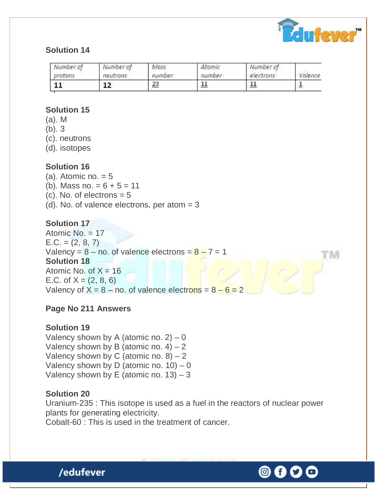

t ivi

## **Solution 14**

| Number of | Number of | Mass   | Atomic | Number of | Valence |
|-----------|-----------|--------|--------|-----------|---------|
| protons   | neutrons  | number | number | electrons |         |
| 11        | 12        | 23     | 11     | --        |         |

## **Solution 15**

- (a). M
- (b). 3
- (c). neutrons
- (d). isotopes

## **Solution 16**

- (a). Atomic no.  $= 5$
- (b). Mass no.  $= 6 + 5 = 11$
- (c). No. of electrons  $= 5$
- (d). No. of valence electrons, per atom  $= 3$

## **Solution 17**

Atomic No. = 17  $E.C. = (2, 8, 7)$ Valency =  $8 -$  no. of valence electrons =  $8 - 7 = 1$ **Solution 18** Atomic No. of  $X = 16$ E.C. of  $X = (2, 8, 6)$ Valency of  $X = 8 -$  no. of valence electrons =  $8 - 6 = 2$ 

# **Page No 211 Answers**

## **Solution 19**

Valency shown by A (atomic no.  $2$ ) – 0 Valency shown by B (atomic no.  $4 - 2$ Valency shown by C (atomic no.  $8 - 2$ Valency shown by D (atomic no.  $10$ ) – 0 Valency shown by E (atomic no.  $13$ ) – 3

## **Solution 20**

Uranium-235 : This isotope is used as a fuel in the reactors of nuclear power plants for generating electricity.

Cobalt-60 : This is used in the treatment of cancer.

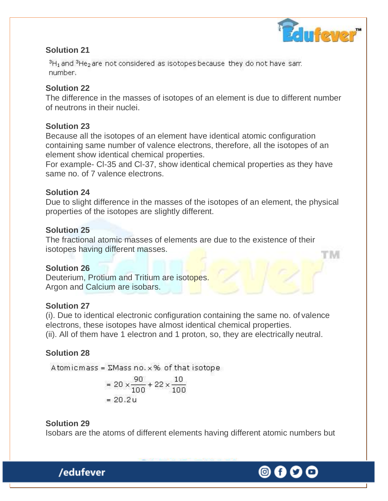

'N

#### **Solution 21**

 ${}^{3}H_1$  and  ${}^{3}He_2$  are not considered as isotopes because they do not have sam. number.

### **Solution 22**

The difference in the masses of isotopes of an element is due to different number of neutrons in their nuclei.

#### **Solution 23**

Because all the isotopes of an element have identical atomic configuration containing same number of valence electrons, therefore, all the isotopes of an element show identical chemical properties.

For example- Cl-35 and Cl-37, show identical chemical properties as they have same no. of 7 valence electrons.

## **Solution 24**

Due to slight difference in the masses of the isotopes of an element, the physical properties of the isotopes are slightly different.

## **Solution 25**

The fractional atomic masses of elements are due to the existence of their isotopes having different masses.

#### **Solution 26**

Deuterium, Protium and Tritium are isotopes. Argon and Calcium are isobars.

## **Solution 27**

(i). Due to identical electronic configuration containing the same no. of valence electrons, these isotopes have almost identical chemical properties. (ii). All of them have 1 electron and 1 proton, so, they are electrically neutral.

## **Solution 28**

Atomicmass =  $\Sigma$ Mass no.  $\times$  % of that isotope

$$
= 20 \times \frac{90}{100} + 22 \times \frac{10}{100}
$$

$$
= 20.2 \text{ u}
$$

## **Solution 29**

Isobars are the atoms of different elements having different atomic numbers but

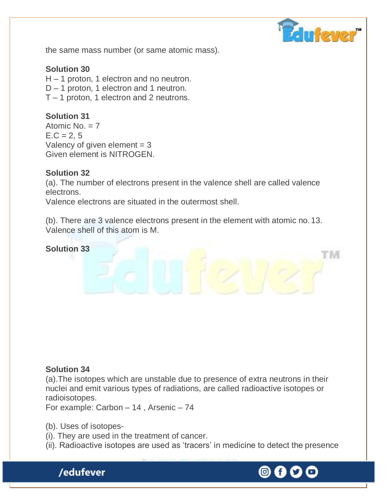

'N

the same mass number (or same atomic mass).

#### **Solution 30**

H – 1 proton, 1 electron and no neutron. D – 1 proton, 1 electron and 1 neutron. T – 1 proton, 1 electron and 2 neutrons.

#### **Solution 31**

Atomic No. = 7  $E.C = 2, 5$ Valency of given element  $= 3$ Given element is NITROGEN.

#### **Solution 32**

(a). The number of electrons present in the valence shell are called valence electrons.

Valence electrons are situated in the outermost shell.

(b). There are 3 valence electrons present in the element with atomic no. 13. Valence shell of this atom is M.

#### **Solution 33**

#### **Solution 34**

(a).The isotopes which are unstable due to presence of extra neutrons in their nuclei and emit various types of radiations, are called radioactive isotopes or radioisotopes.

For example: Carbon – 14 , Arsenic – 74

(b). Uses of isotopes-

- (i). They are used in the treatment of cancer.
- (ii). Radioactive isotopes are used as 'tracers' in medicine to detect the presence

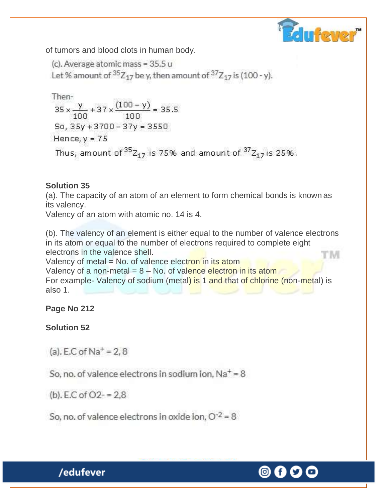

of tumors and blood clots in human body.

(c). Average atomic mass = 35.5 u Let % amount of  ${}^{35}Z_{17}$  be y, then amount of  ${}^{37}Z_{17}$  is (100 - y).

Then-  
\n
$$
35 \times \frac{y}{100} + 37 \times \frac{(100 - y)}{100} = 35.5
$$
  
\nSo,  $35y + 3700 - 37y = 3550$   
\nHence,  $y = 75$   
\nThus, amount of  $35z_{17}$  is 75% and amount of  $37z_{17}$  is 25%.

## **Solution 35**

(a). The capacity of an atom of an element to form chemical bonds is known as its valency.

Valency of an atom with atomic no. 14 is 4.

(b). The valency of an element is either equal to the number of valence electrons in its atom or equal to the number of electrons required to complete eight electrons in the valence shell. TM

Valency of metal = No. of valence electron in its atom

Valency of a non-metal  $= 8 - No$ . of valence electron in its atom For example- Valency of sodium (metal) is 1 and that of chlorine (non-metal) is also 1.

# **Page No 212**

# **Solution 52**

(a). E.C of  $Na^+=2, 8$ 

So, no. of valence electrons in sodium ion,  $Na<sup>+</sup> = 8$ 

(b), E.C of  $O2 - 2.8$ 

So, no. of valence electrons in oxide ion,  $O^{-2} = 8$ 

#### ◎ Gf.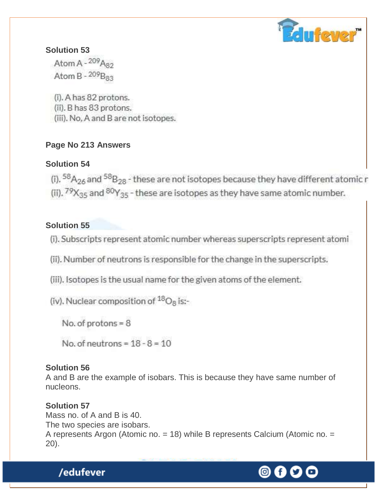

## **Solution 53**

Atom A -  $^{209}$ A<sub>82</sub> Atom B -  $^{209}$ B<sub>83</sub>

(i). A has 82 protons. (ii). B has 83 protons. (iii). No, A and B are not isotopes.

# **Page No 213 Answers**

# **Solution 54**

(i).  ${}^{58}A_{26}$  and  ${}^{58}B_{28}$  - these are not isotopes because they have different atomic r (ii).  $79X_{35}$  and  $80Y_{35}$  - these are isotopes as they have same atomic number.

# **Solution 55**

(i). Subscripts represent atomic number whereas superscripts represent atomi

(ii). Number of neutrons is responsible for the change in the superscripts.

(iii). Isotopes is the usual name for the given atoms of the element.

(iv). Nuclear composition of  ${}^{18}O_8$  is:-

No. of protons =  $8$ 

No. of neutrons =  $18 - 8 = 10$ 

# **Solution 56**

A and B are the example of isobars. This is because they have same number of nucleons.

# **Solution 57**

Mass no. of A and B is 40. The two species are isobars. A represents Argon (Atomic no. = 18) while B represents Calcium (Atomic no. = 20).

#### ◎ Gf.